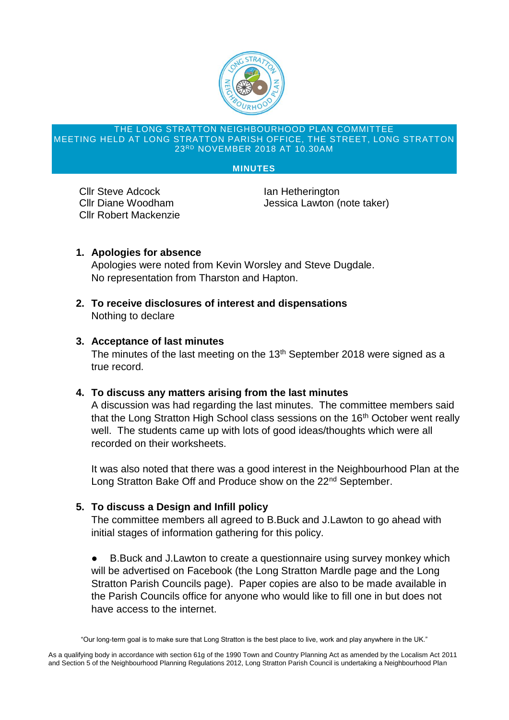

#### THE LONG STRATTON NEIGHBOURHOOD PLAN COMMITTEE MEETING HELD AT LONG STRATTON PARISH OFFICE, THE STREET, LONG STRATTON 23RD NOVEMBER 2018 AT 10.30AM

#### **MINUTES**

**Cllr Steve Adcock Ian Hetherington** Cllr Robert Mackenzie

Cllr Diane Woodham Jessica Lawton (note taker)

# **1. Apologies for absence**

Apologies were noted from Kevin Worsley and Steve Dugdale. No representation from Tharston and Hapton.

**2. To receive disclosures of interest and dispensations** Nothing to declare

### **3. Acceptance of last minutes**

The minutes of the last meeting on the 13<sup>th</sup> September 2018 were signed as a true record.

### **4. To discuss any matters arising from the last minutes**

A discussion was had regarding the last minutes. The committee members said that the Long Stratton High School class sessions on the 16<sup>th</sup> October went really well. The students came up with lots of good ideas/thoughts which were all recorded on their worksheets.

It was also noted that there was a good interest in the Neighbourhood Plan at the Long Stratton Bake Off and Produce show on the 22<sup>nd</sup> September.

### **5. To discuss a Design and Infill policy**

The committee members all agreed to B.Buck and J.Lawton to go ahead with initial stages of information gathering for this policy.

● B.Buck and J.Lawton to create a questionnaire using survey monkey which will be advertised on Facebook (the Long Stratton Mardle page and the Long Stratton Parish Councils page). Paper copies are also to be made available in the Parish Councils office for anyone who would like to fill one in but does not have access to the internet.

<sup>&</sup>quot;Our long-term goal is to make sure that Long Stratton is the best place to live, work and play anywhere in the UK."